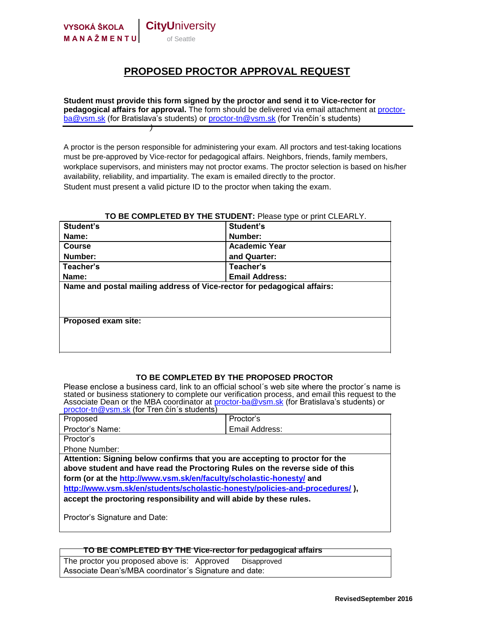

## **PROPOSED PROCTOR APPROVAL REQUEST**

**Student must provide this form signed by the proctor and send it to Vice-rector for pedagogical affairs for approval.** The form should be delivered via email attachment at proctorba@vsm.sk (for Bratislava's students) or proctor-tn@vsm.sk (for Trenčín's students) *)*

A proctor is the person responsible for administering your exam. All proctors and test-taking locations must be pre-approved by Vice-rector for pedagogical affairs. Neighbors, friends, family members, workplace supervisors, and ministers may not proctor exams. The proctor selection is based on his/her availability, reliability, and impartiality. The exam is emailed directly to the proctor. Student must present a valid picture ID to the proctor when taking the exam.

#### **TO BE COMPLETED BY THE STUDENT:** Please type or print CLEARLY.

| Student's                                                               | Student's             |
|-------------------------------------------------------------------------|-----------------------|
| Name:                                                                   | Number:               |
| <b>Course</b>                                                           | <b>Academic Year</b>  |
| Number:                                                                 | and Quarter:          |
| Teacher's                                                               | Teacher's             |
| Name:                                                                   | <b>Email Address:</b> |
| Name and postal mailing address of Vice-rector for pedagogical affairs: |                       |
|                                                                         |                       |
|                                                                         |                       |
|                                                                         |                       |
| <b>Proposed exam site:</b>                                              |                       |
|                                                                         |                       |
|                                                                         |                       |

### **TO BE COMPLETED BY THE PROPOSED PROCTOR**

Please enclose a business card, link to an official school's web site where the proctor's name is stated or business stationery to complete our verification process, and email this request to the Associate Dean or the MBA coordinator at **proctor-ba@vsm.sk** (for Bratislava's students) or proctor-tn@vsm.sk (for Tren čín´s students) Proposed Proctor's

| . . <i>.</i>                                                                 | ט ושטשו ו      |
|------------------------------------------------------------------------------|----------------|
| Proctor's Name:                                                              | Email Address: |
| Proctor's                                                                    |                |
| Phone Number:                                                                |                |
| Attention: Signing below confirms that you are accepting to proctor for the  |                |
| above student and have read the Proctoring Rules on the reverse side of this |                |
| form (or at the http://www.vsm.sk/en/faculty/scholastic-honesty/ and         |                |
| http://www.vsm.sk/en/students/scholastic-honesty/policies-and-procedures/),  |                |
| accept the proctoring responsibility and will abide by these rules.          |                |
|                                                                              |                |
| Proctor's Signature and Date:                                                |                |

#### **TO BE COMPLETED BY THE Vice-rector for pedagogical affairs**

The proctor you proposed above is: Approved Disapproved Associate Dean's/MBA coordinator´s Signature and date: